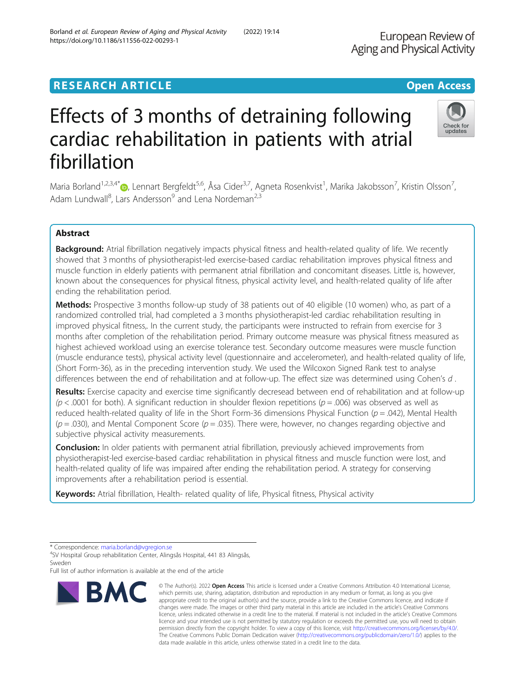## **RESEARCH ARTICLE External Structure of the Community Community Community Community Community Community Community**

# Effects of 3 months of detraining following cardiac rehabilitation in patients with atrial fibrillation

Maria Borland<sup>1,2,3,4[\\*](http://orcid.org/0000-0002-0386-4088)</sup>®, Lennart Bergfeldt<sup>5,6</sup>, Åsa Cider<sup>3,7</sup>, Agneta Rosenkvist<sup>1</sup>, Marika Jakobsson<sup>7</sup>, Kristin Olsson<sup>7</sup> , Adam Lundwall<sup>8</sup>, Lars Andersson<sup>9</sup> and Lena Nordeman<sup>2,3</sup>

## Abstract

Background: Atrial fibrillation negatively impacts physical fitness and health-related quality of life. We recently showed that 3 months of physiotherapist-led exercise-based cardiac rehabilitation improves physical fitness and muscle function in elderly patients with permanent atrial fibrillation and concomitant diseases. Little is, however, known about the consequences for physical fitness, physical activity level, and health-related quality of life after ending the rehabilitation period.

Methods: Prospective 3 months follow-up study of 38 patients out of 40 eligible (10 women) who, as part of a randomized controlled trial, had completed a 3 months physiotherapist-led cardiac rehabilitation resulting in improved physical fitness,. In the current study, the participants were instructed to refrain from exercise for 3 months after completion of the rehabilitation period. Primary outcome measure was physical fitness measured as highest achieved workload using an exercise tolerance test. Secondary outcome measures were muscle function (muscle endurance tests), physical activity level (questionnaire and accelerometer), and health-related quality of life, (Short Form-36), as in the preceding intervention study. We used the Wilcoxon Signed Rank test to analyse differences between the end of rehabilitation and at follow-up. The effect size was determined using Cohen's d.

Results: Exercise capacity and exercise time significantly decresead between end of rehabilitation and at follow-up  $(p < .0001$  for both). A significant reduction in shoulder flexion repetitions ( $p = .006$ ) was observed as well as reduced health-related quality of life in the Short Form-36 dimensions Physical Function ( $p = .042$ ), Mental Health  $(p = .030)$ , and Mental Component Score ( $p = .035$ ). There were, however, no changes regarding objective and subjective physical activity measurements.

**Conclusion:** In older patients with permanent atrial fibrillation, previously achieved improvements from physiotherapist-led exercise-based cardiac rehabilitation in physical fitness and muscle function were lost, and health-related quality of life was impaired after ending the rehabilitation period. A strategy for conserving improvements after a rehabilitation period is essential.

Keywords: Atrial fibrillation, Health- related quality of life, Physical fitness, Physical activity

changes were made. The images or other third party material in this article are included in the article's Creative Commons licence, unless indicated otherwise in a credit line to the material. If material is not included in the article's Creative Commons licence and your intended use is not permitted by statutory regulation or exceeds the permitted use, you will need to obtain permission directly from the copyright holder. To view a copy of this licence, visit [http://creativecommons.org/licenses/by/4.0/.](http://creativecommons.org/licenses/by/4.0/) The Creative Commons Public Domain Dedication waiver [\(http://creativecommons.org/publicdomain/zero/1.0/](http://creativecommons.org/publicdomain/zero/1.0/)) applies to the data made available in this article, unless otherwise stated in a credit line to the data.

© The Author(s), 2022 **Open Access** This article is licensed under a Creative Commons Attribution 4.0 International License, which permits use, sharing, adaptation, distribution and reproduction in any medium or format, as long as you give appropriate credit to the original author(s) and the source, provide a link to the Creative Commons licence, and indicate if

Check for undates







<sup>\*</sup> Correspondence: [maria.borland@vgregion.se](mailto:maria.borland@vgregion.se) <sup>4</sup>

SV Hospital Group rehabilitation Center, Alingsås Hospital, 441 83 Alingsås, Sweden

Full list of author information is available at the end of the article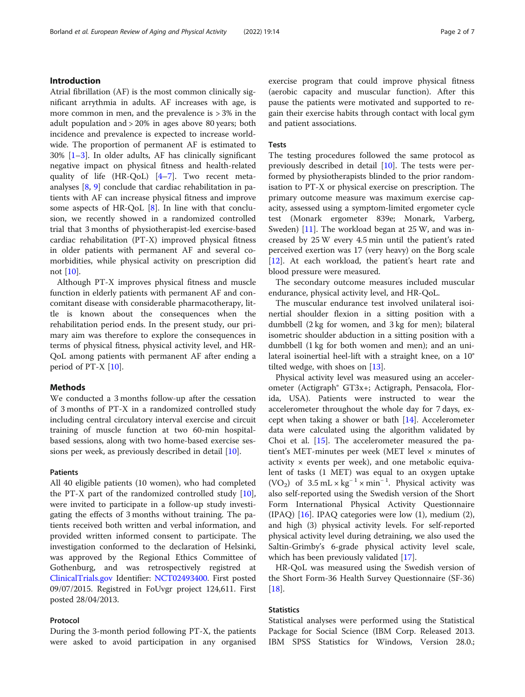## Introduction

Atrial fibrillation (AF) is the most common clinically significant arrythmia in adults. AF increases with age, is more common in men, and the prevalence is  $> 3\%$  in the adult population and > 20% in ages above 80 years; both incidence and prevalence is expected to increase worldwide. The proportion of permanent AF is estimated to 30% [[1](#page-5-0)–[3](#page-5-0)]. In older adults, AF has clinically significant negative impact on physical fitness and health-related quality of life (HR-QoL) [\[4](#page-5-0)–[7](#page-5-0)]. Two recent metaanalyses [\[8](#page-5-0), [9](#page-5-0)] conclude that cardiac rehabilitation in patients with AF can increase physical fitness and improve some aspects of HR-QoL [[8\]](#page-5-0). In line with that conclusion, we recently showed in a randomized controlled trial that 3 months of physiotherapist-led exercise-based cardiac rehabilitation (PT-X) improved physical fitness in older patients with permanent AF and several comorbidities, while physical activity on prescription did not [\[10](#page-5-0)].

Although PT-X improves physical fitness and muscle function in elderly patients with permanent AF and concomitant disease with considerable pharmacotherapy, little is known about the consequences when the rehabilitation period ends. In the present study, our primary aim was therefore to explore the consequences in terms of physical fitness, physical activity level, and HR-QoL among patients with permanent AF after ending a period of PT-X [\[10](#page-5-0)].

#### Methods

We conducted a 3 months follow-up after the cessation of 3 months of PT-X in a randomized controlled study including central circulatory interval exercise and circuit training of muscle function at two 60-min hospitalbased sessions, along with two home-based exercise sessions per week, as previously described in detail [[10\]](#page-5-0).

## Patients

All 40 eligible patients (10 women), who had completed the PT-X part of the randomized controlled study [\[10](#page-5-0)], were invited to participate in a follow-up study investigating the effects of 3 months without training. The patients received both written and verbal information, and provided written informed consent to participate. The investigation conformed to the declaration of Helsinki, was approved by the Regional Ethics Committee of Gothenburg, and was retrospectively registred at [ClinicalTrials.gov](http://clinicaltrials.gov) Identifier: [NCT02493400](https://clinicaltrials.gov/ct2/show/NCT02493400). First posted 09/07/2015. Registred in FoUvgr project 124,611. First posted 28/04/2013.

## Protocol

During the 3-month period following PT-X, the patients were asked to avoid participation in any organised exercise program that could improve physical fitness (aerobic capacity and muscular function). After this pause the patients were motivated and supported to regain their exercise habits through contact with local gym and patient associations.

## Tests

The testing procedures followed the same protocol as previously described in detail [[10](#page-5-0)]. The tests were performed by physiotherapists blinded to the prior randomisation to PT-X or physical exercise on prescription. The primary outcome measure was maximum exercise capacity, assessed using a symptom-limited ergometer cycle test (Monark ergometer 839e; Monark, Varberg, Sweden) [[11\]](#page-5-0). The workload began at 25 W, and was increased by 25 W every 4.5 min until the patient's rated perceived exertion was 17 (very heavy) on the Borg scale [[12\]](#page-5-0). At each workload, the patient's heart rate and blood pressure were measured.

The secondary outcome measures included muscular endurance, physical activity level, and HR-QoL.

The muscular endurance test involved unilateral isoinertial shoulder flexion in a sitting position with a dumbbell (2 kg for women, and 3 kg for men); bilateral isometric shoulder abduction in a sitting position with a dumbbell (1 kg for both women and men); and an unilateral isoinertial heel-lift with a straight knee, on a 10° tilted wedge, with shoes on [\[13\]](#page-5-0).

Physical activity level was measured using an accelerometer (Actigraph® GT3x+; Actigraph, Pensacola, Florida, USA). Patients were instructed to wear the accelerometer throughout the whole day for 7 days, except when taking a shower or bath  $[14]$  $[14]$ . Accelerometer data were calculated using the algorithm validated by Choi et al.  $[15]$  $[15]$ . The accelerometer measured the patient's MET-minutes per week (MET level × minutes of activity  $\times$  events per week), and one metabolic equivalent of tasks (1 MET) was equal to an oxygen uptake (VO<sub>2</sub>) of  $3.5$  mL × kg<sup>-1</sup> × min<sup>-1</sup>. Physical activity was also self-reported using the Swedish version of the Short Form International Physical Activity Questionnaire  $(IPAQ)$  [\[16\]](#page-6-0). IPAQ categories were low  $(1)$ , medium  $(2)$ , and high (3) physical activity levels. For self-reported physical activity level during detraining, we also used the Saltin-Grimby's 6-grade physical activity level scale, which has been previously validated [[17\]](#page-6-0).

HR-QoL was measured using the Swedish version of the Short Form-36 Health Survey Questionnaire (SF-36)  $[18]$  $[18]$ .

## **Statistics**

Statistical analyses were performed using the Statistical Package for Social Science (IBM Corp. Released 2013. IBM SPSS Statistics for Windows, Version 28.0.;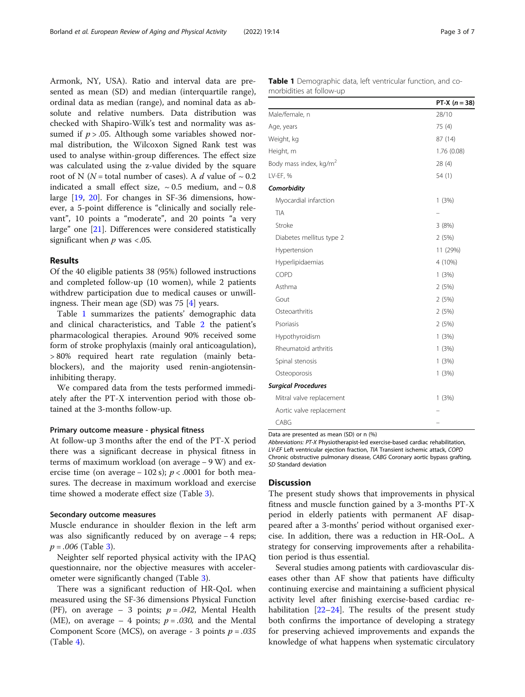Armonk, NY, USA). Ratio and interval data are presented as mean (SD) and median (interquartile range), ordinal data as median (range), and nominal data as absolute and relative numbers. Data distribution was checked with Shapiro-Wilk's test and normality was assumed if  $p > .05$ . Although some variables showed normal distribution, the Wilcoxon Signed Rank test was used to analyse within-group differences. The effect size was calculated using the z-value divided by the square root of N (N = total number of cases). A d value of  $\sim 0.2$ indicated a small effect size,  $\sim 0.5$  medium, and  $\sim 0.8$ large [\[19,](#page-6-0) [20\]](#page-6-0). For changes in SF-36 dimensions, however, a 5-point difference is "clinically and socially relevant", 10 points a "moderate", and 20 points "a very large" one [[21\]](#page-6-0). Differences were considered statistically significant when  $p$  was <.05.

## Results

Of the 40 eligible patients 38 (95%) followed instructions and completed follow-up (10 women), while 2 patients withdrew participation due to medical causes or unwillingness. Their mean age (SD) was 75 [\[4](#page-5-0)] years.

Table 1 summarizes the patients' demographic data and clinical characteristics, and Table [2](#page-3-0) the patient's pharmacological therapies. Around 90% received some form of stroke prophylaxis (mainly oral anticoagulation), > 80% required heart rate regulation (mainly betablockers), and the majority used renin-angiotensininhibiting therapy.

We compared data from the tests performed immediately after the PT-X intervention period with those obtained at the 3-months follow-up.

#### Primary outcome measure - physical fitness

At follow-up 3 months after the end of the PT-X period there was a significant decrease in physical fitness in terms of maximum workload (on average − 9 W) and exercise time (on average – 102 s);  $p < .0001$  for both measures. The decrease in maximum workload and exercise time showed a moderate effect size (Table [3](#page-4-0)).

#### Secondary outcome measures

Muscle endurance in shoulder flexion in the left arm was also significantly reduced by on average − 4 reps;  $p = .006$  (Table [3](#page-4-0)).

Neighter self reported physical activity with the IPAQ questionnaire, nor the objective measures with accelerometer were significantly changed (Table [3](#page-4-0)).

There was a significant reduction of HR-QoL when measured using the SF-36 dimensions Physical Function (PF), on average – 3 points;  $p = .042$ , Mental Health (ME), on average – 4 points;  $p = .030$ , and the Mental Component Score (MCS), on average - 3 points  $p = .035$  $(Table 4)$  $(Table 4)$ .

| <b>Table 1</b> Demographic data, left ventricular function, and co- |  |  |
|---------------------------------------------------------------------|--|--|
| morbidities at follow-up                                            |  |  |

|                                    | PT-X $(n = 38)$ |
|------------------------------------|-----------------|
| Male/female, n                     | 28/10           |
| Age, years                         | 75 (4)          |
| Weight, kg                         | 87 (14)         |
| Height, m                          | 1.76 (0.08)     |
| Body mass index, kg/m <sup>2</sup> | 28(4)           |
| LV-EF, %                           | 54(1)           |
| Comorbidity                        |                 |
| Myocardial infarction              | 1(3%)           |
| <b>TIA</b>                         |                 |
| Stroke                             | 3(8%)           |
| Diabetes mellitus type 2           | 2(5%)           |
| Hypertension                       | 11 (29%)        |
| Hyperlipidaemias                   | 4 (10%)         |
| COPD                               | 1(3%)           |
| Asthma                             | 2(5%)           |
| Gout                               | 2(5%)           |
| Osteoarthritis                     | 2(5%)           |
| Psoriasis                          | 2(5%)           |
| Hypothyroidism                     | 1(3%)           |
| Rheumatoid arthritis               | 1(3%)           |
| Spinal stenosis                    | 1(3%)           |
| Osteoporosis                       | 1(3%)           |
| <b>Surgical Procedures</b>         |                 |
| Mitral valve replacement           | 1(3%)           |
| Aortic valve replacement           |                 |
| CABG                               |                 |

Data are presented as mean (SD) or n (%)

Abbreviations: PT-X Physiotherapist-led exercise-based cardiac rehabilitation, LV-EF Left ventricular ejection fraction, TIA Transient ischemic attack, COPD Chronic obstructive pulmonary disease, CABG Coronary aortic bypass grafting, SD Standard deviation

## **Discussion**

The present study shows that improvements in physical fitness and muscle function gained by a 3-months PT-X period in elderly patients with permanent AF disappeared after a 3-months' period without organised exercise. In addition, there was a reduction in HR-OoL. A strategy for conserving improvements after a rehabilitation period is thus essential.

Several studies among patients with cardiovascular diseases other than AF show that patients have difficulty continuing exercise and maintaining a sufficient physical activity level after finishing exercise-based cardiac rehabilitation  $[22-24]$  $[22-24]$  $[22-24]$  $[22-24]$  $[22-24]$ . The results of the present study both confirms the importance of developing a strategy for preserving achieved improvements and expands the knowledge of what happens when systematic circulatory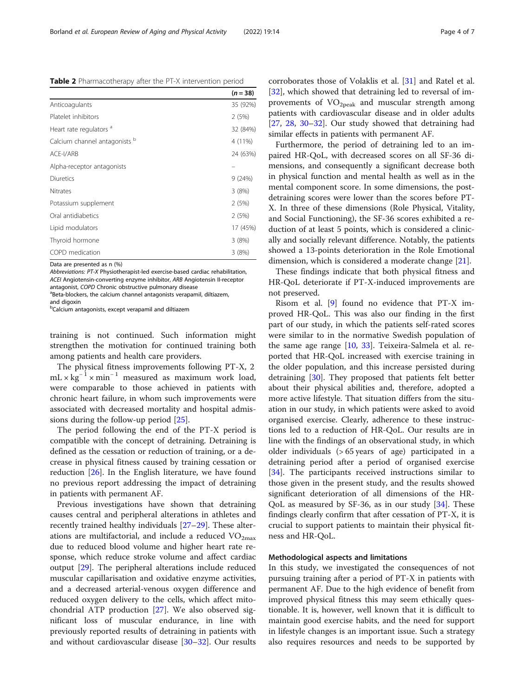Data are presented as n (%)

Abbreviations: PT-X Physiotherapist-led exercise-based cardiac rehabilitation, ACEI Angiotensin-converting enzyme inhibitor, ARB Angiotensin II-receptor antagonist, COPD Chronic obstructive pulmonary disease

aBeta-blockers, the calcium channel antagonists verapamil, diltiazem, and digoxin

<sup>b</sup>Calcium antagonists, except verapamil and diltiazem

training is not continued. Such information might strengthen the motivation for continued training both among patients and health care providers.

The physical fitness improvements following PT-X, 2  $mL \times kg^{-1} \times min^{-1}$  measured as maximum work load, were comparable to those achieved in patients with chronic heart failure, in whom such improvements were associated with decreased mortality and hospital admissions during the follow-up period [\[25](#page-6-0)].

The period following the end of the PT-X period is compatible with the concept of detraining. Detraining is defined as the cessation or reduction of training, or a decrease in physical fitness caused by training cessation or reduction [\[26\]](#page-6-0). In the English literature, we have found no previous report addressing the impact of detraining in patients with permanent AF.

Previous investigations have shown that detraining causes central and peripheral alterations in athletes and recently trained healthy individuals [\[27](#page-6-0)–[29\]](#page-6-0). These alterations are multifactorial, and include a reduced  $VO<sub>2max</sub>$ due to reduced blood volume and higher heart rate response, which reduce stroke volume and affect cardiac output [\[29](#page-6-0)]. The peripheral alterations include reduced muscular capillarisation and oxidative enzyme activities, and a decreased arterial-venous oxygen difference and reduced oxygen delivery to the cells, which affect mitochondrial ATP production [\[27](#page-6-0)]. We also observed significant loss of muscular endurance, in line with previously reported results of detraining in patients with and without cardiovascular disease [[30](#page-6-0)–[32](#page-6-0)]. Our results

corroborates those of Volaklis et al. [\[31](#page-6-0)] and Ratel et al. [[32\]](#page-6-0), which showed that detraining led to reversal of improvements of  $VO<sub>2peak</sub>$  and muscular strength among patients with cardiovascular disease and in older adults [[27,](#page-6-0) [28,](#page-6-0) [30](#page-6-0)–[32\]](#page-6-0). Our study showed that detraining had similar effects in patients with permanent AF.

Furthermore, the period of detraining led to an impaired HR-QoL, with decreased scores on all SF-36 dimensions, and consequently a significant decrease both in physical function and mental health as well as in the mental component score. In some dimensions, the postdetraining scores were lower than the scores before PT-X. In three of these dimensions (Role Physical, Vitality, and Social Functioning), the SF-36 scores exhibited a reduction of at least 5 points, which is considered a clinically and socially relevant difference. Notably, the patients showed a 13-points deterioration in the Role Emotional dimension, which is considered a moderate change [[21\]](#page-6-0).

These findings indicate that both physical fitness and HR-QoL deteriorate if PT-X-induced improvements are not preserved.

Risom et al. [[9\]](#page-5-0) found no evidence that PT-X improved HR-QoL. This was also our finding in the first part of our study, in which the patients self-rated scores were similar to in the normative Swedish population of the same age range [\[10,](#page-5-0) [33](#page-6-0)]. Teixeira-Salmela et al. reported that HR-QoL increased with exercise training in the older population, and this increase persisted during detraining [[30\]](#page-6-0). They proposed that patients felt better about their physical abilities and, therefore, adopted a more active lifestyle. That situation differs from the situation in our study, in which patients were asked to avoid organised exercise. Clearly, adherence to these instructions led to a reduction of HR-QoL. Our results are in line with the findings of an observational study, in which older individuals (> 65 years of age) participated in a detraining period after a period of organised exercise [[34\]](#page-6-0). The participants received instructions similar to those given in the present study, and the results showed significant deterioration of all dimensions of the HR-QoL as measured by SF-36, as in our study [\[34](#page-6-0)]. These findings clearly confirm that after cessation of PT-X, it is crucial to support patients to maintain their physical fitness and HR-QoL.

## Methodological aspects and limitations

In this study, we investigated the consequences of not pursuing training after a period of PT-X in patients with permanent AF. Due to the high evidence of benefit from improved physical fitness this may seem ethically questionable. It is, however, well known that it is difficult to maintain good exercise habits, and the need for support in lifestyle changes is an important issue. Such a strategy also requires resources and needs to be supported by

<span id="page-3-0"></span>Table 2 Pharmacotherapy after the PT-X intervention period

|                                    | $(n = 38)$ |
|------------------------------------|------------|
| Anticoagulants                     | 35 (92%)   |
| Platelet inhibitors                | 2(5%)      |
| Heart rate regulators <sup>a</sup> | 32 (84%)   |
| Calcium channel antagonists b      | 4 (11%)    |
| ACE-I/ARB                          | 24 (63%)   |
| Alpha-receptor antagonists         |            |
| <b>Diuretics</b>                   | 9(24%)     |
| <b>Nitrates</b>                    | 3(8%)      |
| Potassium supplement               | 2(5%)      |
| Oral antidiabetics                 | 2(5%)      |
| Lipid modulators                   | 17 (45%)   |
| Thyroid hormone                    | 3(8%)      |
| COPD medication                    | 3(8%)      |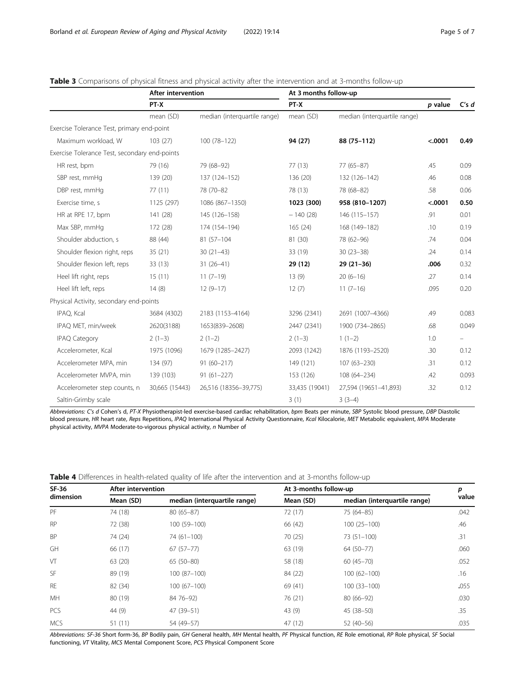|                                               | After intervention |                              | At 3 months follow-up |                              |         |                          |
|-----------------------------------------------|--------------------|------------------------------|-----------------------|------------------------------|---------|--------------------------|
|                                               | PT-X               |                              | PT-X                  |                              | p value | C's d                    |
|                                               | mean (SD)          | median (interquartile range) | mean (SD)             | median (interquartile range) |         |                          |
| Exercise Tolerance Test, primary end-point    |                    |                              |                       |                              |         |                          |
| Maximum workload, W                           | 103(27)            | 100 (78-122)                 | 94 (27)               | 88 (75-112)                  | < .0001 | 0.49                     |
| Exercise Tolerance Test, secondary end-points |                    |                              |                       |                              |         |                          |
| HR rest, bpm                                  | 79 (16)            | 79 (68-92)                   | 77(13)                | $77(65 - 87)$                | .45     | 0.09                     |
| SBP rest, mmHq                                | 139 (20)           | 137 (124-152)                | 136 (20)              | 132 (126-142)                | .46     | 0.08                     |
| DBP rest, mmHq                                | 77(11)             | 78 (70-82)                   | 78 (13)               | 78 (68-82)                   | .58     | 0.06                     |
| Exercise time, s                              | 1125 (297)         | 1086 (867-1350)              | 1023 (300)            | 958 (810-1207)               | < .0001 | 0.50                     |
| HR at RPE 17, bpm                             | 141 (28)           | 145 (126-158)                | $-140(28)$            | 146 (115-157)                | .91     | 0.01                     |
| Max SBP, mmHq                                 | 172 (28)           | 174 (154-194)                | 165(24)               | 168 (149-182)                | .10     | 0.19                     |
| Shoulder abduction, s                         | 88 (44)            | 81 (57-104)                  | 81 (30)               | 78 (62-96)                   | .74     | 0.04                     |
| Shoulder flexion right, reps                  | 35(21)             | $30(21-43)$                  | 33 (19)               | $30(23 - 38)$                | .24     | 0.14                     |
| Shoulder flexion left, reps                   | 33(13)             | $31(26-41)$                  | 29 (12)               | $29(21-36)$                  | .006    | 0.32                     |
| Heel lift right, reps                         | 15(11)             | $11(7-19)$                   | 13(9)                 | $20(6-16)$                   | .27     | 0.14                     |
| Heel lift left, reps                          | 14(8)              | $12(9-17)$                   | 12(7)                 | $11(7-16)$                   | .095    | 0.20                     |
| Physical Activity, secondary end-points       |                    |                              |                       |                              |         |                          |
| IPAQ, Kcal                                    | 3684 (4302)        | 2183 (1153-4164)             | 3296 (2341)           | 2691 (1007-4366)             | .49     | 0.083                    |
| IPAQ MET, min/week                            | 2620(3188)         | 1653(839-2608)               | 2447 (2341)           | 1900 (734-2865)              | .68     | 0.049                    |
| <b>IPAQ Category</b>                          | $2(1-3)$           | $2(1-2)$                     | $2(1-3)$              | $1(1-2)$                     | 1.0     | $\overline{\phantom{0}}$ |
| Accelerometer, Kcal                           | 1975 (1096)        | 1679 (1285-2427)             | 2093 (1242)           | 1876 (1193-2520)             | .30     | 0.12                     |
| Accelerometer MPA, min                        | 134 (97)           | $91(60 - 217)$               | 149 (121)             | 107 (63-230)                 | .31     | 0.12                     |
| Accelerometer MVPA, min                       | 139 (103)          | $91(61 - 227)$               | 153 (126)             | 108 (64-234)                 | .42     | 0.093                    |
| Accelerometer step counts, n                  | 30,665 (15443)     | 26,516 (18356-39,775)        | 33,435 (19041)        | 27,594 (19651-41,893)        | .32     | 0.12                     |
| Saltin-Grimby scale                           |                    |                              | 3(1)                  | $3(3-4)$                     |         |                          |

## <span id="page-4-0"></span>Table 3 Comparisons of physical fitness and physical activity after the intervention and at 3-months follow-up

Abbreviations: C's d Cohen's d, PT-X Physiotherapist-led exercise-based cardiac rehabilitation, bpm Beats per minute, SBP Systolic blood pressure, DBP Diastolic blood pressure, HR heart rate, Reps Repetitions, IPAQ International Physical Activity Questionnaire, Kcal Kilocalorie, MET Metabolic equivalent, MPA Moderate physical activity, MVPA Moderate-to-vigorous physical activity, n Number of

| SF-36<br>dimension |           | After intervention           |           | At 3-months follow-up        |       |
|--------------------|-----------|------------------------------|-----------|------------------------------|-------|
|                    | Mean (SD) | median (interquartile range) | Mean (SD) | median (interquartile range) | value |
| PF                 | 74 (18)   | $80(65 - 87)$                | 72 (17)   | 75 (64-85)                   | .042  |
| <b>RP</b>          | 72 (38)   | 100 (59-100)                 | 66 (42)   | $100(25-100)$                | .46   |
| <b>BP</b>          | 74 (24)   | 74 (61-100)                  | 70 (25)   | $73(51 - 100)$               | .31   |
| GH                 | 66 (17)   | $67(57-77)$                  | 63 (19)   | 64 (50-77)                   | .060  |
| VT                 | 63 (20)   | $65(50-80)$                  | 58 (18)   | $60(45 - 70)$                | .052  |
| <b>SF</b>          | 89 (19)   | $100(87-100)$                | 84 (22)   | $100(62 - 100)$              | .16   |
| <b>RF</b>          | 82 (34)   | $100(67-100)$                | 69 (41)   | $100(33 - 100)$              | .055  |
| MH                 | 80 (19)   | 84 76 - 92)                  | 76 (21)   | $80(66-92)$                  | .030  |
| <b>PCS</b>         | 44 (9)    | 47 (39-51)                   | 43 (9)    | 45 (38-50)                   | .35   |
| <b>MCS</b>         | 51(11)    | 54 (49-57)                   | 47 (12)   | $52(40-56)$                  | .035  |

Table 4 Differences in health-related quality of life after the intervention and at 3-months follow-up

Abbreviations: SF-36 Short form-36, BP Bodily pain, GH General health, MH Mental health, PF Physical function, RE Role emotional, RP Role physical, SF Social functioning, VT Vitality, MCS Mental Component Score, PCS Physical Component Score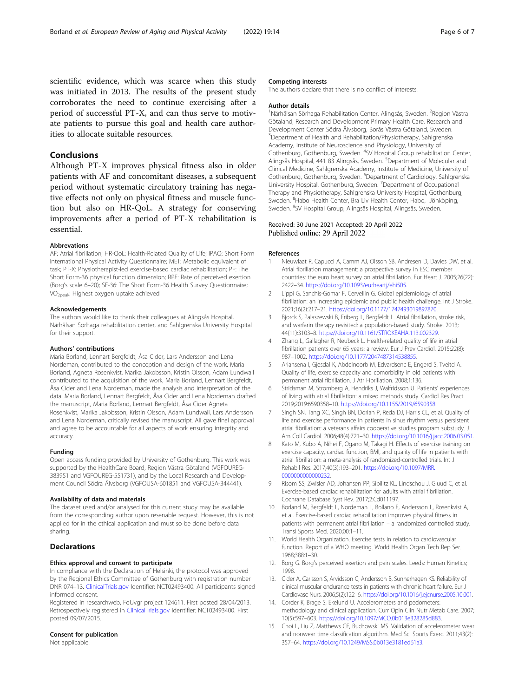<span id="page-5-0"></span>scientific evidence, which was scarce when this study was initiated in 2013. The results of the present study corroborates the need to continue exercising after a period of successful PT-X, and can thus serve to motivate patients to pursue this goal and health care authorities to allocate suitable resources.

## Conclusions

Although PT-X improves physical fitness also in older patients with AF and concomitant diseases, a subsequent period without systematic circulatory training has negative effects not only on physical fitness and muscle function but also on HR-QoL. A strategy for conserving improvements after a period of PT-X rehabilitation is essential.

#### **Abbrevations**

AF: Atrial fibrillation; HR-QoL: Health-Related Quality of Life; IPAQ: Short Form International Physical Activity Questionnaire; MET: Metabolic equivalent of task; PT-X: Physiotherapist-led exercise-based cardiac rehabilitation; PF: The Short Form-36 physical function dimension; RPE: Rate of perceived exertion (Borg's scale 6–20); SF-36: The Short Form-36 Health Survey Questionnaire; VO2peak: Highest oxygen uptake achieved

#### Acknowledgements

The authors would like to thank their colleagues at Alingsås Hospital, Närhälsan Sörhaga rehabilitation center, and Sahlgrenska University Hospital for their support.

#### Authors' contributions

Maria Borland, Lennart Bergfeldt, Åsa Cider, Lars Andersson and Lena Nordeman, contributed to the conception and design of the work. Maria Borland, Agneta Rosenkvist, Marika Jakobsson, Kristin Olsson, Adam Lundwall contributed to the acquisition of the work, Maria Borland, Lennart Bergfeldt, Åsa Cider and Lena Nordeman, made the analysis and interpretation of the data. Maria Borland, Lennart Bergfeldt, Åsa Cider and Lena Nordeman drafted the manuscript, Maria Borland, Lennart Bergfeldt, Åsa Cider Agneta Rosenkvist, Marika Jakobsson, Kristin Olsson, Adam Lundwall, Lars Andersson and Lena Nordeman, critically revised the manuscript. All gave final approval and agree to be accountable for all aspects of work ensuring integrity and accuracy.

#### Funding

Open access funding provided by University of Gothenburg. This work was supported by the HealthCare Board, Region Västra Götaland (VGFOUREG-383951 and VGFOUREG-551731), and by the Local Research and Development Council Södra Älvsborg (VGFOUSA-601851 and VGFOUSA-344441).

#### Availability of data and materials

The dataset used and/or analysed for this current study may be available from the corresponding author upon resenable request. However, this is not applied for in the ethical application and must so be done before data sharing.

## **Declarations**

## Ethics approval and consent to participate

In compliance with the Declaration of Helsinki, the protocol was approved by the Regional Ethics Committee of Gothenburg with registration number DNR 074–13. [ClinicalTrials.gov](http://clinicaltrials.gov) Identifier: NCT02493400. All participants signed informed consent.

Registered in researchweb, FoUvgr project 124611. First posted 28/04/2013. Retrospectively registered in [ClinicalTrials.gov](http://clinicaltrials.gov) Identifier: NCT02493400. First posted 09/07/2015.

## Consent for publication

Not applicable.

#### Competing interests

The authors declare that there is no conflict of interests.

#### Author details

<sup>1</sup>Närhälsan Sörhaga Rehabilitation Center, Alingsås, Sweden. <sup>2</sup>Region Västra Götaland, Research and Development Primary Health Care, Research and Development Center Södra Älvsborg, Borås Västra Götaland, Sweden. 3 Department of Health and Rehabilitation/Physiotherapy, Sahlgrenska Academy, Institute of Neuroscience and Physiology, University of Gothenburg, Gothenburg, Sweden. <sup>4</sup>SV Hospital Group rehabilitation Center, Alingsås Hospital, 441 83 Alingsås, Sweden. <sup>5</sup>Department of Molecular and Clinical Medicine, Sahlgrenska Academy, Institute of Medicine, University of Gothenburg, Gothenburg, Sweden. <sup>6</sup>Department of Cardiology, Sahlgrenska University Hospital, Gothenburg, Sweden. <sup>7</sup> Department of Occupational Therapy and Physiotherapy, Sahlgrenska University Hospital, Gothenburg, Sweden. <sup>8</sup>Habo Health Center, Bra Liv Health Center, Habo, Jönköping, Sweden. <sup>9</sup>SV Hospital Group, Alingsås Hospital, Alingsås, Sweden.

#### Received: 30 June 2021 Accepted: 20 April 2022 Published online: 29 April 2022

#### References

- 1. Nieuwlaat R, Capucci A, Camm AJ, Olsson SB, Andresen D, Davies DW, et al. Atrial fibrillation management: a prospective survey in ESC member countries: the euro heart survey on atrial fibrillation. Eur Heart J. 2005;26(22): 2422–34. [https://doi.org/10.1093/eurheartj/ehi505.](https://doi.org/10.1093/eurheartj/ehi505)
- 2. Lippi G, Sanchis-Gomar F, Cervellin G. Global epidemiology of atrial fibrillation: an increasing epidemic and public health challenge. Int J Stroke. 2021;16(2):217–21. <https://doi.org/10.1177/1747493019897870>.
- 3. Bjorck S, Palaszewski B, Friberg L, Bergfeldt L. Atrial fibrillation, stroke risk, and warfarin therapy revisited: a population-based study. Stroke. 2013; 44(11):3103–8. [https://doi.org/10.1161/STROKEAHA.113.002329.](https://doi.org/10.1161/STROKEAHA.113.002329)
- 4. Zhang L, Gallagher R, Neubeck L. Health-related quality of life in atrial fibrillation patients over 65 years: a review. Eur J Prev Cardiol. 2015;22(8): 987–1002. <https://doi.org/10.1177/2047487314538855>.
- 5. Ariansena I, Gjesdal K, Abdelnoorb M, Edvardsenc E, Engerd S, Tveitd A. Quality of life, exercise capacity and comorbidity in old patients with permanent atrial fibrillation. J Atr Fibrillation. 2008;1:136.
- 6. Stridsman M, Stromberg A, Hendriks J, Walfridsson U. Patients' experiences of living with atrial fibrillation: a mixed methods study. Cardiol Res Pract. 2019;2019:6590358–10. <https://doi.org/10.1155/2019/6590358>.
- 7. Singh SN, Tang XC, Singh BN, Dorian P, Reda DJ, Harris CL, et al. Quality of life and exercise performance in patients in sinus rhythm versus persistent atrial fibrillation: a veterans affairs cooperative studies program substudy. J Am Coll Cardiol. 2006;48(4):721–30. [https://doi.org/10.1016/j.jacc.2006.03.051.](https://doi.org/10.1016/j.jacc.2006.03.051)
- 8. Kato M, Kubo A, Nihei F, Ogano M, Takagi H. Effects of exercise training on exercise capacity, cardiac function, BMI, and quality of life in patients with atrial fibrillation: a meta-analysis of randomized-controlled trials. Int J Rehabil Res. 2017;40(3):193–201. [https://doi.org/10.1097/MRR.](https://doi.org/10.1097/MRR.0000000000000232) [0000000000000232](https://doi.org/10.1097/MRR.0000000000000232).
- 9. Risom SS, Zwisler AD, Johansen PP, Sibilitz KL, Lindschou J, Gluud C, et al. Exercise-based cardiac rehabilitation for adults with atrial fibrillation. Cochrane Database Syst Rev. 2017;2:Cd011197.
- 10. Borland M, Bergfeldt L, Nordeman L, Bollano E, Andersson L, Rosenkvist A, et al. Exercise-based cardiac rehabilitation improves physical fitness in patients with permanent atrial fibrillation – a randomized controlled study. Transl Sports Med. 2020;00:1–11.
- 11. World Health Organization. Exercise tests in relation to cardiovascular function. Report of a WHO meeting. World Health Organ Tech Rep Ser. 1968;388:1–30.
- 12. Borg G. Borg's perceived exertion and pain scales. Leeds: Human Kinetics; 1998.
- 13. Cider A, Carlsson S, Arvidsson C, Andersson B, Sunnerhagen KS. Reliability of clinical muscular endurance tests in patients with chronic heart failure. Eur J Cardiovasc Nurs. 2006;5(2):122–6. [https://doi.org/10.1016/j.ejcnurse.2005.10.001.](https://doi.org/10.1016/j.ejcnurse.2005.10.001)
- 14. Corder K, Brage S, Ekelund U. Accelerometers and pedometers: methodology and clinical application. Curr Opin Clin Nutr Metab Care. 2007; 10(5):597–603. <https://doi.org/10.1097/MCO.0b013e328285d883>.
- 15. Choi L, Liu Z, Matthews CE, Buchowski MS. Validation of accelerometer wear and nonwear time classification algorithm. Med Sci Sports Exerc. 2011;43(2): 357–64. <https://doi.org/10.1249/MSS.0b013e3181ed61a3>.